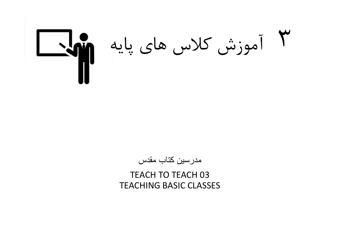# آموزش كلاس هاي پايه

مدرسين کتاب مقدس

TEACH TO TEACH 03 TEACHING BASIC CLASSES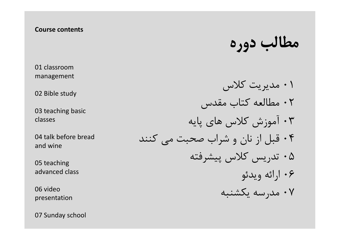## Course contents

01 classroom management

02 Bible study

03 teaching basic classes

04 talk before bread and wine

05 teaching advanced class

06 video presentation

07 Sunday school

مطالب دوره

 مديريت كلاس مطالعه كتاب مقدس آموزش كلاس هاي پايه قبل از نان و شراب صحبت مي كنند تدريس كلاس پيشرفته ارائه ويدئو مدرسه يكشنبه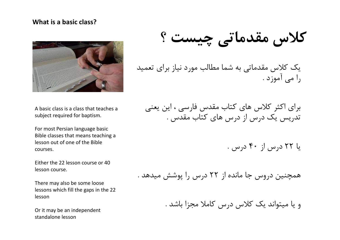## What is a basic class?



A basic class is a class that teaches a subject required for baptism.

For most Persian language basic Bible classes that means teaching a lesson out of one of the Bible courses.

Either the 22 lesson course or 40 lesson course.

There may also be some loose lessons which fill the gaps in the 22 lesson

Or it may be an independent standalone lesson

كلاس مقدماتي چيست ؟

يك كلاس مقدماتي به شما مطالب مورد نياز براي تعميد را مي آموزد .

برای اکثر کلاس های کتاب مقدس فارسی ، اين يعنی<br>تدريس يک درس از درس هاي كتاب مقدس .

يا ٢٢ درس از ٤٠ درس .

همچنين دروس جا مانده از ٢٢ درس را پوشش ميدهد .

و يا ميتواند يك كلاس درس كاملا مجزا باشد .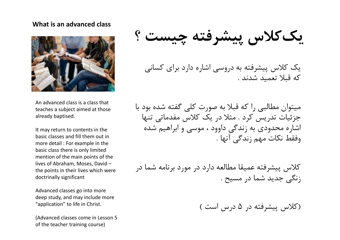### What is an advanced class



An advanced class is a class that teaches a subject aimed at those already baptised.

It may return to contents in the basic classes and fill them out in more detail : For example in the basic class there is only limited mention of the main points of the lives of Abraham, Moses, David – the points in their lives which were doctrinally significant

Advanced classes go into more deep study, and may include more "application" to life in Christ.

(Advanced classes come in Lesson 5 of the teacher training course)

يك كلاس پيشرفته چيست ؟

يک کلاس پيشرفته به دروسي اشاره دارد براي کساني<br>که قبلا تعميد شدند .

ميتوان مطالبي را كه قبلا به صورت كلي گفته شده بود با جزئيات تدريس كرد . مثلا در يك كلاس مفدماتي تنها اشاره محدودی به زندگي داوود ، موسي و ابراهيم شده<br>وفقط نكات مهم زندگي آنها .

كلاس پيشرفته عميقا مطالعه دارد در مورد برنامه شما در زنگي جديد شما در مسيح .

(كلاس پيشرفته در ٥ درس است )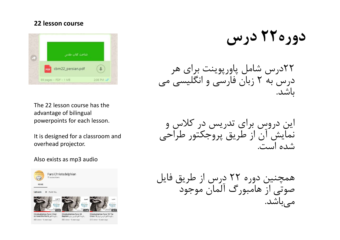# 22 lesson course



The 22 lesson course has the advantage of bilingual

It is designed for a classroom and overhead projector.

#### Also exists as mp3 audio



دوره ٢٢ درس

٢٢درس شامل پاورپوينت براي هر درس به ٢ زبان فارسي و انگليسي مي باشد.

اين دروس براي تدريس در كلاس و نمايش آن از طريق پروجكتور طراحي<br>شده است.

همچنين دوره ٢٢ درس از طريق فايل صوتي از هامبورگ آلمان موجود مي باشد.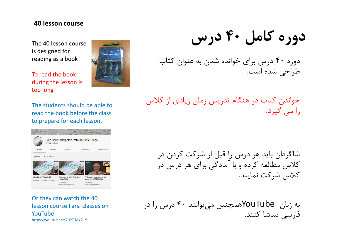## 40 lesson course

The 40 lesson course is designed for reading as a book



To read the book during the lesson is too long

The students should be able to read the book before the class to prepare for each lesson.

|                               | 388 subscribers                       | Sale Christadelphian Persian Bible Class    |                                      |                              |
|-------------------------------|---------------------------------------|---------------------------------------------|--------------------------------------|------------------------------|
| <b>HOME</b>                   | VIDEOS                                | PI AVI ISTS                                 | <b>CHANNELS</b>                      | <b>DISCUSSION</b>            |
| Uploads                       | PLAY ALL                              |                                             |                                      |                              |
|                               |                                       |                                             | <b>BARBON</b>                        |                              |
|                               | کلام تو بر اور پاهاور من<br>مدينون لو | کلام تو بر اور پاهای من<br>ورزاه من تور است |                                      |                              |
|                               |                                       |                                             |                                      |                              |
|                               | 59:09                                 |                                             | 1:05:35                              | 1:07:28                      |
| What Next? (CBM40/40)         |                                       | Summary of Bible Teaching                   |                                      | Fellowship with those of the |
| 84 views · Streamed 1 day ago |                                       | (CBM40/39)<br>115 views ·                   | same faith (CBM40/38)<br>164 views · |                              |

Or they can watch the 40 lesson course Farsi classes on YouTube https://youtu.be/m7-6fCMY71Y

دوره كامل ٤٠ درس

دوره ٤٠ درس براي خوانده شدن به عنوان كتاب طراحي شده است.

خواندن كتاب در هنگام تدريس زمان زيادي از كلاس را مي گيرد.

شاگردان بايد هر درس را قبل از شركت كردن در كلاس مطالعه كرده و با آمادگي براي هر درس در كلاس شركت نمايند.

به زبان YouTubeهمچنين ميتوانند ۴۰ درس را در<br>فارسي تماشا كنند.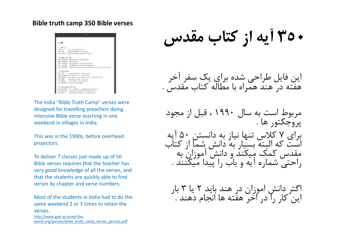# Bible truth camp 350 Bible verses



The India "Bible Truth Camp" verses were designed for travelling preachers doing intensive Bible verse teaching in one weekend in villages in India.

This was in the 1990s, before overhead projectors.

To deliver 7 classes just made up of 50 Bible verses requires that the teacher has very good knowledge of all the verses, and that the students are quickly able to find verses by chapter and verse numbers.

Most of the students in India had to do the same weekend 2 or 3 times to retain the verses. http://www.god-so-loved-theworld.org/persian/bible\_truth\_camp\_verses\_persian.pdf

٣٥٠ آيه از كتاب مقدس

این فایل طراحی شده برای یک سفر اخر<br>هفته در هند همراه با مطاله کتاب مقدس . .

مربوط است به سال ١٩٩٠ ، قبل از مجود پروجكتور ها . برای ۷ كلاس تنها نياز به دانستن ۵۰ ايه<br>است كه البته بسيار به دانش شما از كتاب<br>مقدس كمک مِيكند و دانش آموزان به راحتي شماره آيه و باب را پيدا ميكنند .

اگثر دانش اموزان در هند بايد ٢ يا ٣ بار<br>اين كار را در آخر هفته ها انجام دهند .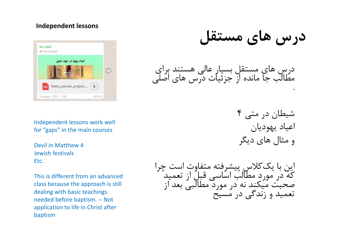# Independent lessons



Independent lessons work well for "gaps" in the main courses

Devil in Matthew 4 Jewish festivals Etc.

This is different from an advanced class because the approach is still dealing with basic teachings Independent lessons work well<br>for "gaps" in the main courses<br>Devil in Matthew 4<br>Etc.<br>This is different from an advanced<br>class because the approach is still<br>dealing with basic teachings<br>needed before baptism. -- Not<br>applic application to life in Christ after baptism

درس هاي مستقل

درس هاي مستقل بسيار عالي هستند براي مطالب جا مانده از جزئيات درس هاي اصلي

شيطان در متي ٤ . اعياد يهوديان و مثال هاي ديگر

اين با يک *ك*لاس پيشرفته متفاوت است چرا<br>كه در مورد مطالب اساسي قبل از تعميد صحبت ميكند نه در مورد مطالبي بعد از<br>تعميد و زندگي در مسيح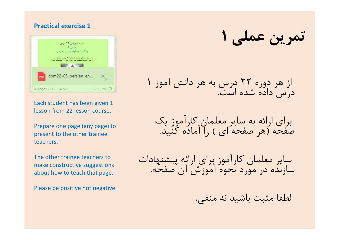## Practical exercise 1



Each student has been given 1 lesson from 22 lesson course.

Prepare one page (any page) to present to the other trainee teachers.

The other trainee teachers to make constructive suggestions about how to teach that page.

Please be positive not negative.

تمرين عملي ١

از هر دوره ٢٢ درس به هر دانش آموز ١<br>درس داده شده است.

براى ارائه به ساير معلمان كارآموز يك<br>صفحه (هر صفحه اي ) ,ا آماده كنيد.

ساير معلمان كارآموز براي ارائه پيشنهادات سازنده در مورد نحوه آموزش آن صفحه.

لطفا مثبت باشيد نه منفي.